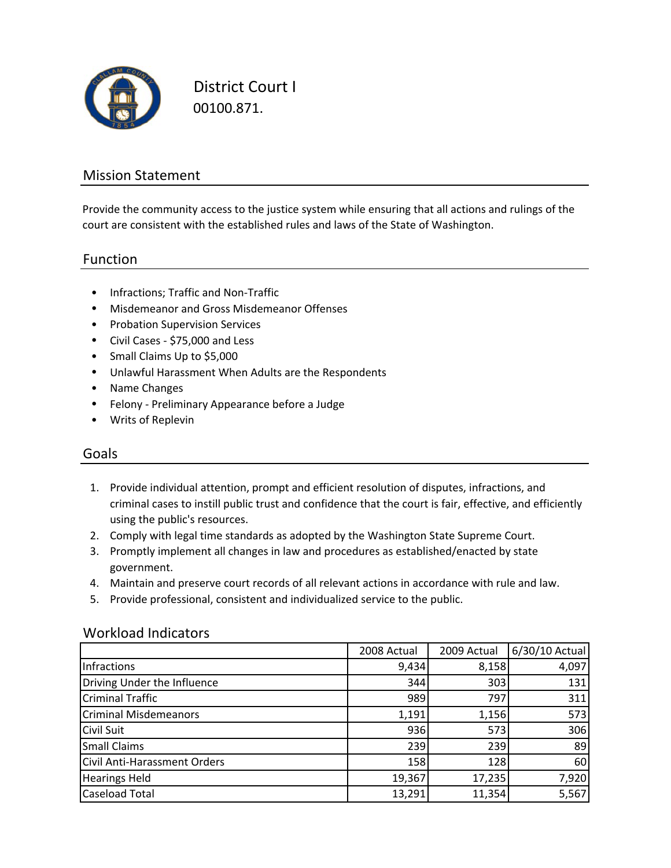

District Court I 00100.871.

### Mission Statement

Provide the community access to the justice system while ensuring that all actions and rulings of the court are consistent with the established rules and laws of the State of Washington.

#### Function

- Infractions; Traffic and Non‐Traffic
- Misdemeanor and Gross Misdemeanor Offenses
- Probation Supervision Services
- Civil Cases ‐ \$75,000 and Less
- Small Claims Up to \$5,000
- Unlawful Harassment When Adults are the Respondents
- Name Changes
- Felony ‐ Preliminary Appearance before a Judge
- Writs of Replevin

#### Goals

- 1. Provide individual attention, prompt and efficient resolution of disputes, infractions, and criminal cases to instill public trust and confidence that the court is fair, effective, and efficiently using the public's resources.
- 2. Comply with legal time standards as adopted by the Washington State Supreme Court.
- 3. Promptly implement all changes in law and procedures as established/enacted by state government.
- 4. Maintain and preserve court records of all relevant actions in accordance with rule and law.
- 5. Provide professional, consistent and individualized service to the public.

#### Workload Indicators

|                                     | 2008 Actual | 2009 Actual | 6/30/10 Actual |
|-------------------------------------|-------------|-------------|----------------|
| Infractions                         | 9,434       | 8,158       | 4,097          |
| Driving Under the Influence         | 344         | 303         | 131            |
| <b>Criminal Traffic</b>             | 989         | 797         | 311            |
| <b>Criminal Misdemeanors</b>        | 1,191       | 1,156       | 573            |
| <b>Civil Suit</b>                   | 936         | 573         | 306            |
| <b>Small Claims</b>                 | 239         | 239         | 89             |
| <b>Civil Anti-Harassment Orders</b> | 158         | 128         | 60             |
| <b>Hearings Held</b>                | 19,367      | 17,235      | 7,920          |
| <b>Caseload Total</b>               | 13,291      | 11,354      | 5,567          |